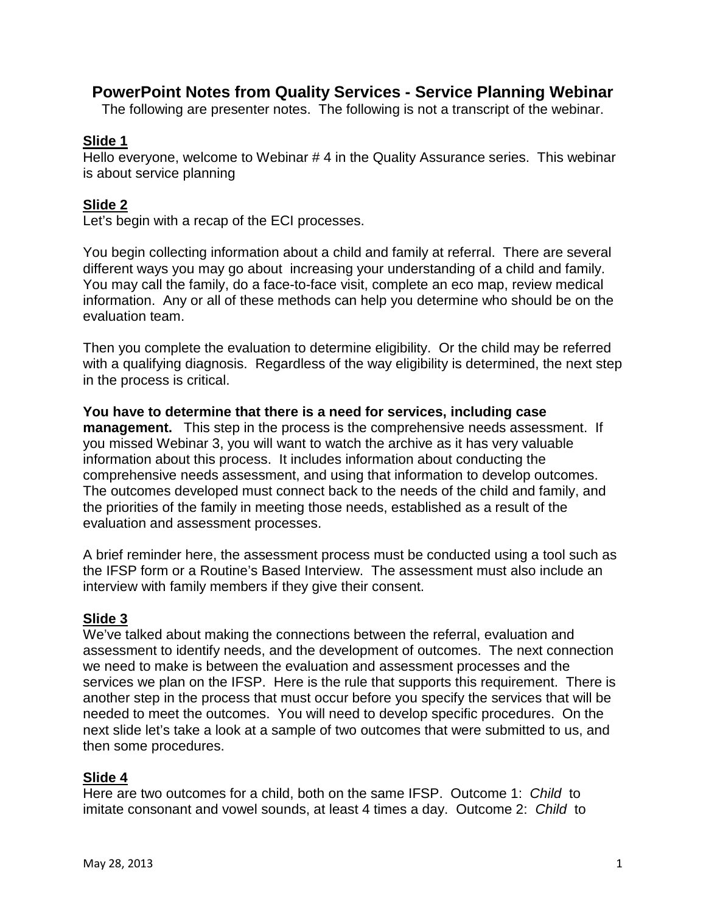# **PowerPoint Notes from Quality Services - Service Planning Webinar**

The following are presenter notes. The following is not a transcript of the webinar.

#### **Slide 1**

Hello everyone, welcome to Webinar # 4 in the Quality Assurance series. This webinar is about service planning

### **Slide 2**

Let's begin with a recap of the ECI processes.

You begin collecting information about a child and family at referral. There are several different ways you may go about increasing your understanding of a child and family. You may call the family, do a face-to-face visit, complete an eco map, review medical information. Any or all of these methods can help you determine who should be on the evaluation team.

Then you complete the evaluation to determine eligibility. Or the child may be referred with a qualifying diagnosis. Regardless of the way eligibility is determined, the next step in the process is critical.

**You have to determine that there is a need for services, including case management.** This step in the process is the comprehensive needs assessment. If you missed Webinar 3, you will want to watch the archive as it has very valuable information about this process. It includes information about conducting the comprehensive needs assessment, and using that information to develop outcomes. The outcomes developed must connect back to the needs of the child and family, and the priorities of the family in meeting those needs, established as a result of the evaluation and assessment processes.

A brief reminder here, the assessment process must be conducted using a tool such as the IFSP form or a Routine's Based Interview. The assessment must also include an interview with family members if they give their consent.

### **Slide 3**

We've talked about making the connections between the referral, evaluation and assessment to identify needs, and the development of outcomes. The next connection we need to make is between the evaluation and assessment processes and the services we plan on the IFSP. Here is the rule that supports this requirement. There is another step in the process that must occur before you specify the services that will be needed to meet the outcomes. You will need to develop specific procedures. On the next slide let's take a look at a sample of two outcomes that were submitted to us, and then some procedures.

#### **Slide 4**

Here are two outcomes for a child, both on the same IFSP. Outcome 1: *Child* to imitate consonant and vowel sounds, at least 4 times a day. Outcome 2: *Child* to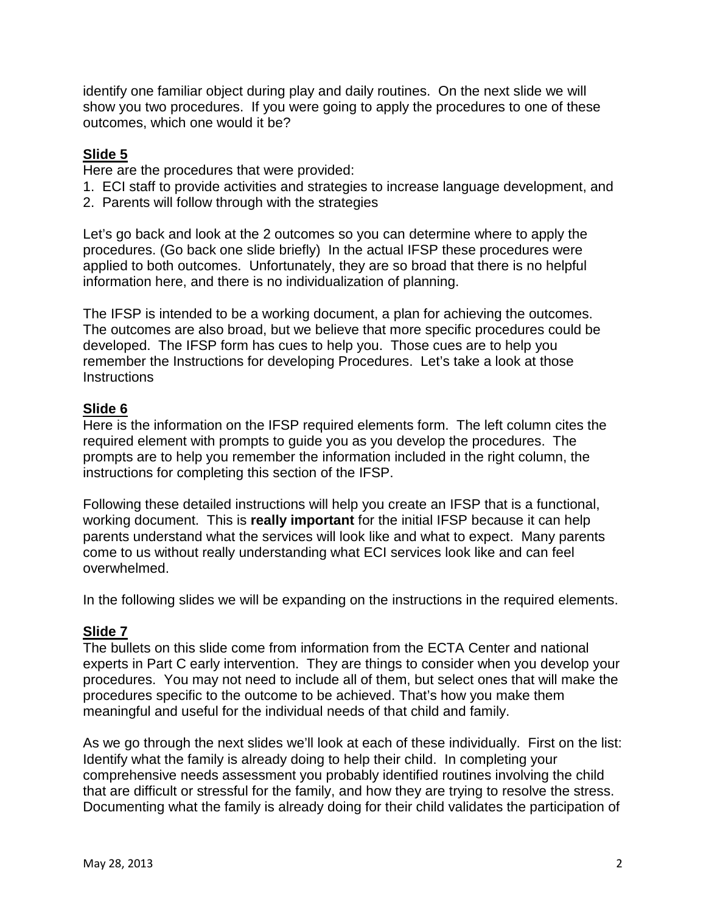identify one familiar object during play and daily routines. On the next slide we will show you two procedures. If you were going to apply the procedures to one of these outcomes, which one would it be?

### **Slide 5**

Here are the procedures that were provided:

- 1. ECI staff to provide activities and strategies to increase language development, and
- 2. Parents will follow through with the strategies

Let's go back and look at the 2 outcomes so you can determine where to apply the procedures. (Go back one slide briefly) In the actual IFSP these procedures were applied to both outcomes. Unfortunately, they are so broad that there is no helpful information here, and there is no individualization of planning.

The IFSP is intended to be a working document, a plan for achieving the outcomes. The outcomes are also broad, but we believe that more specific procedures could be developed. The IFSP form has cues to help you. Those cues are to help you remember the Instructions for developing Procedures. Let's take a look at those **Instructions** 

## **Slide 6**

Here is the information on the IFSP required elements form. The left column cites the required element with prompts to guide you as you develop the procedures. The prompts are to help you remember the information included in the right column, the instructions for completing this section of the IFSP.

Following these detailed instructions will help you create an IFSP that is a functional, working document. This is **really important** for the initial IFSP because it can help parents understand what the services will look like and what to expect. Many parents come to us without really understanding what ECI services look like and can feel overwhelmed.

In the following slides we will be expanding on the instructions in the required elements.

### **Slide 7**

The bullets on this slide come from information from the ECTA Center and national experts in Part C early intervention. They are things to consider when you develop your procedures. You may not need to include all of them, but select ones that will make the procedures specific to the outcome to be achieved. That's how you make them meaningful and useful for the individual needs of that child and family.

As we go through the next slides we'll look at each of these individually. First on the list: Identify what the family is already doing to help their child. In completing your comprehensive needs assessment you probably identified routines involving the child that are difficult or stressful for the family, and how they are trying to resolve the stress. Documenting what the family is already doing for their child validates the participation of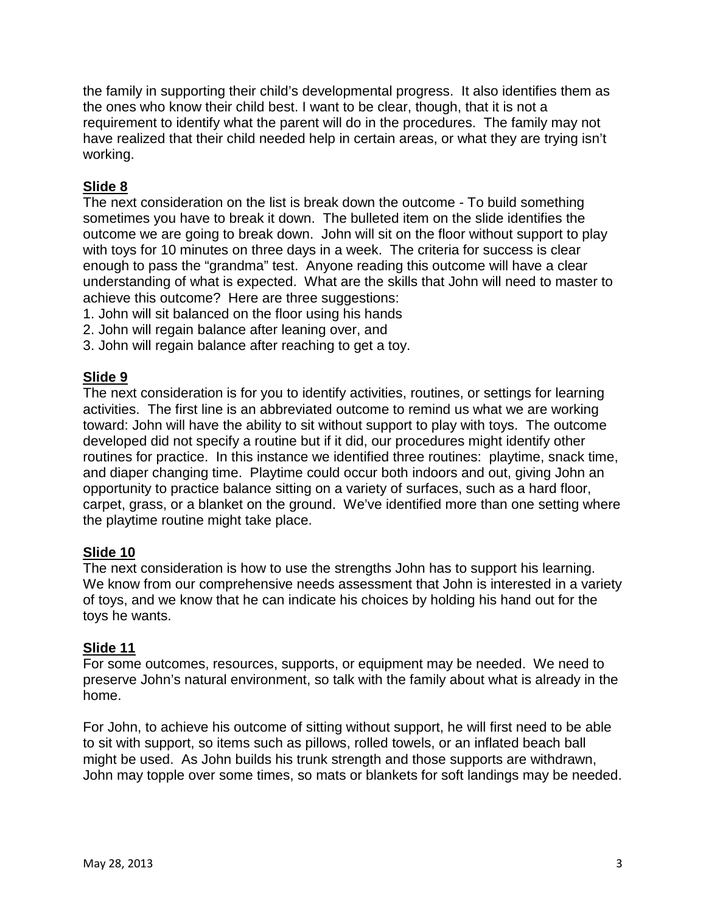the family in supporting their child's developmental progress. It also identifies them as the ones who know their child best. I want to be clear, though, that it is not a requirement to identify what the parent will do in the procedures. The family may not have realized that their child needed help in certain areas, or what they are trying isn't working.

## **Slide 8**

The next consideration on the list is break down the outcome - To build something sometimes you have to break it down. The bulleted item on the slide identifies the outcome we are going to break down. John will sit on the floor without support to play with toys for 10 minutes on three days in a week. The criteria for success is clear enough to pass the "grandma" test. Anyone reading this outcome will have a clear understanding of what is expected. What are the skills that John will need to master to achieve this outcome? Here are three suggestions:

- 1. John will sit balanced on the floor using his hands
- 2. John will regain balance after leaning over, and
- 3. John will regain balance after reaching to get a toy.

### **Slide 9**

The next consideration is for you to identify activities, routines, or settings for learning activities. The first line is an abbreviated outcome to remind us what we are working toward: John will have the ability to sit without support to play with toys. The outcome developed did not specify a routine but if it did, our procedures might identify other routines for practice. In this instance we identified three routines: playtime, snack time, and diaper changing time. Playtime could occur both indoors and out, giving John an opportunity to practice balance sitting on a variety of surfaces, such as a hard floor, carpet, grass, or a blanket on the ground. We've identified more than one setting where the playtime routine might take place.

### **Slide 10**

The next consideration is how to use the strengths John has to support his learning. We know from our comprehensive needs assessment that John is interested in a variety of toys, and we know that he can indicate his choices by holding his hand out for the toys he wants.

#### **Slide 11**

For some outcomes, resources, supports, or equipment may be needed. We need to preserve John's natural environment, so talk with the family about what is already in the home.

For John, to achieve his outcome of sitting without support, he will first need to be able to sit with support, so items such as pillows, rolled towels, or an inflated beach ball might be used. As John builds his trunk strength and those supports are withdrawn, John may topple over some times, so mats or blankets for soft landings may be needed.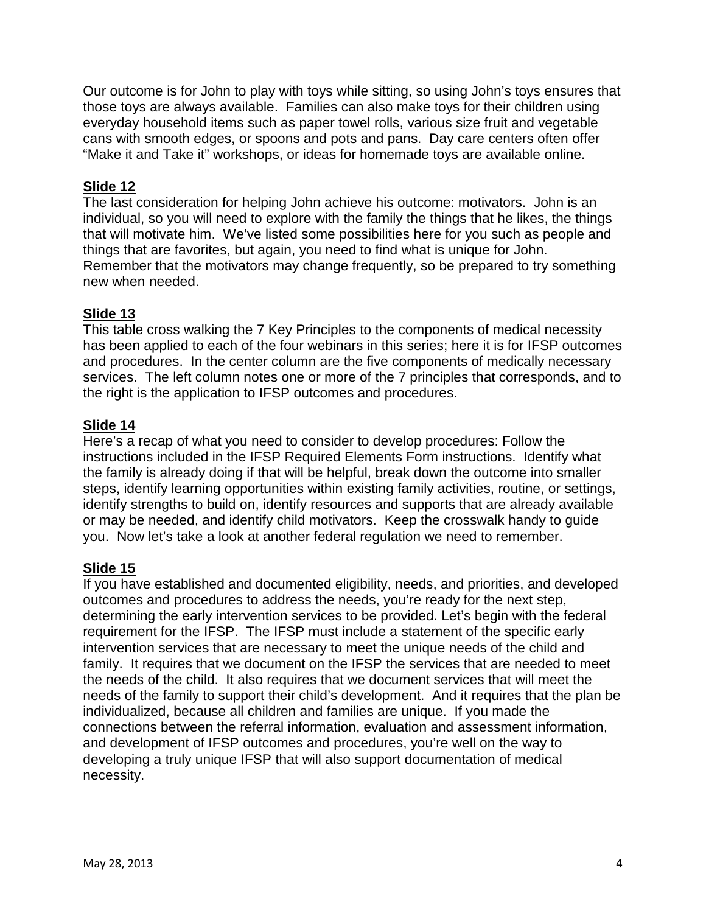Our outcome is for John to play with toys while sitting, so using John's toys ensures that those toys are always available. Families can also make toys for their children using everyday household items such as paper towel rolls, various size fruit and vegetable cans with smooth edges, or spoons and pots and pans. Day care centers often offer "Make it and Take it" workshops, or ideas for homemade toys are available online.

## **Slide 12**

The last consideration for helping John achieve his outcome: motivators. John is an individual, so you will need to explore with the family the things that he likes, the things that will motivate him. We've listed some possibilities here for you such as people and things that are favorites, but again, you need to find what is unique for John. Remember that the motivators may change frequently, so be prepared to try something new when needed.

## **Slide 13**

This table cross walking the 7 Key Principles to the components of medical necessity has been applied to each of the four webinars in this series; here it is for IFSP outcomes and procedures. In the center column are the five components of medically necessary services. The left column notes one or more of the 7 principles that corresponds, and to the right is the application to IFSP outcomes and procedures.

## **Slide 14**

Here's a recap of what you need to consider to develop procedures: Follow the instructions included in the IFSP Required Elements Form instructions. Identify what the family is already doing if that will be helpful, break down the outcome into smaller steps, identify learning opportunities within existing family activities, routine, or settings, identify strengths to build on, identify resources and supports that are already available or may be needed, and identify child motivators. Keep the crosswalk handy to guide you. Now let's take a look at another federal regulation we need to remember.

### **Slide 15**

If you have established and documented eligibility, needs, and priorities, and developed outcomes and procedures to address the needs, you're ready for the next step, determining the early intervention services to be provided. Let's begin with the federal requirement for the IFSP. The IFSP must include a statement of the specific early intervention services that are necessary to meet the unique needs of the child and family. It requires that we document on the IFSP the services that are needed to meet the needs of the child. It also requires that we document services that will meet the needs of the family to support their child's development. And it requires that the plan be individualized, because all children and families are unique. If you made the connections between the referral information, evaluation and assessment information, and development of IFSP outcomes and procedures, you're well on the way to developing a truly unique IFSP that will also support documentation of medical necessity.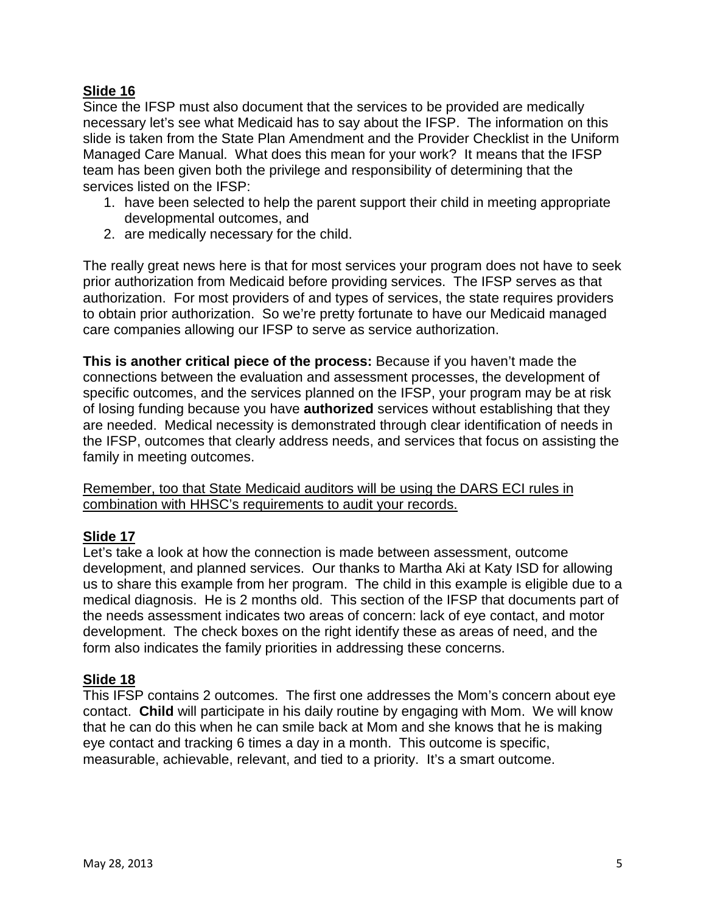Since the IFSP must also document that the services to be provided are medically necessary let's see what Medicaid has to say about the IFSP. The information on this slide is taken from the State Plan Amendment and the Provider Checklist in the Uniform Managed Care Manual. What does this mean for your work? It means that the IFSP team has been given both the privilege and responsibility of determining that the services listed on the IFSP:

- 1. have been selected to help the parent support their child in meeting appropriate developmental outcomes, and
- 2. are medically necessary for the child.

The really great news here is that for most services your program does not have to seek prior authorization from Medicaid before providing services. The IFSP serves as that authorization. For most providers of and types of services, the state requires providers to obtain prior authorization. So we're pretty fortunate to have our Medicaid managed care companies allowing our IFSP to serve as service authorization.

**This is another critical piece of the process:** Because if you haven't made the connections between the evaluation and assessment processes, the development of specific outcomes, and the services planned on the IFSP, your program may be at risk of losing funding because you have **authorized** services without establishing that they are needed. Medical necessity is demonstrated through clear identification of needs in the IFSP, outcomes that clearly address needs, and services that focus on assisting the family in meeting outcomes.

Remember, too that State Medicaid auditors will be using the DARS ECI rules in combination with HHSC's requirements to audit your records.

### **Slide 17**

Let's take a look at how the connection is made between assessment, outcome development, and planned services. Our thanks to Martha Aki at Katy ISD for allowing us to share this example from her program. The child in this example is eligible due to a medical diagnosis. He is 2 months old. This section of the IFSP that documents part of the needs assessment indicates two areas of concern: lack of eye contact, and motor development. The check boxes on the right identify these as areas of need, and the form also indicates the family priorities in addressing these concerns.

#### **Slide 18**

This IFSP contains 2 outcomes. The first one addresses the Mom's concern about eye contact. **Child** will participate in his daily routine by engaging with Mom. We will know that he can do this when he can smile back at Mom and she knows that he is making eye contact and tracking 6 times a day in a month. This outcome is specific, measurable, achievable, relevant, and tied to a priority. It's a smart outcome.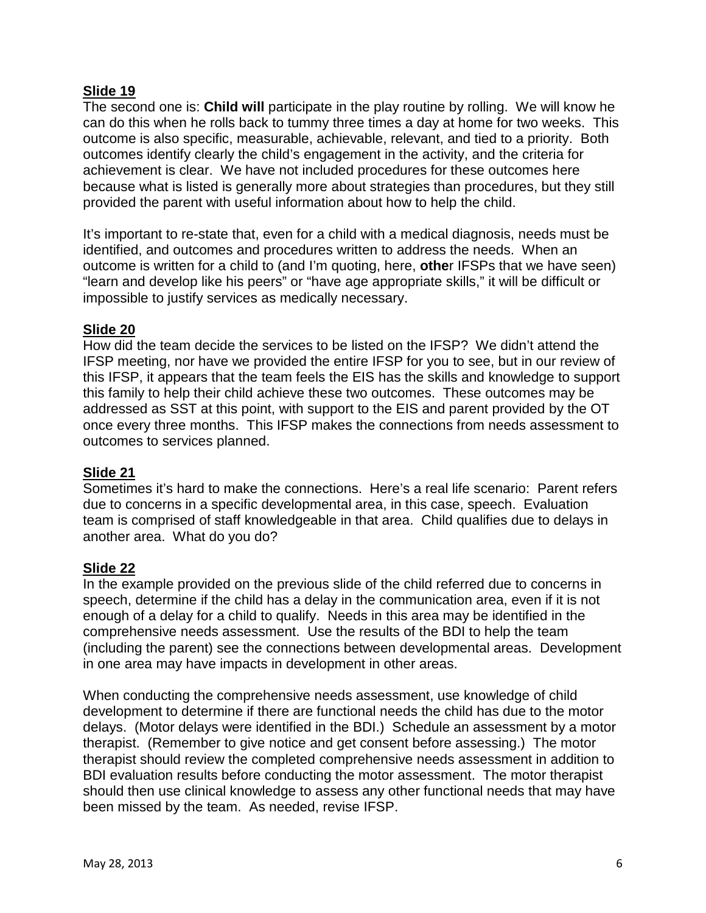The second one is: **Child will** participate in the play routine by rolling. We will know he can do this when he rolls back to tummy three times a day at home for two weeks. This outcome is also specific, measurable, achievable, relevant, and tied to a priority. Both outcomes identify clearly the child's engagement in the activity, and the criteria for achievement is clear. We have not included procedures for these outcomes here because what is listed is generally more about strategies than procedures, but they still provided the parent with useful information about how to help the child.

It's important to re-state that, even for a child with a medical diagnosis, needs must be identified, and outcomes and procedures written to address the needs. When an outcome is written for a child to (and I'm quoting, here, **othe**r IFSPs that we have seen) "learn and develop like his peers" or "have age appropriate skills," it will be difficult or impossible to justify services as medically necessary.

### **Slide 20**

How did the team decide the services to be listed on the IFSP? We didn't attend the IFSP meeting, nor have we provided the entire IFSP for you to see, but in our review of this IFSP, it appears that the team feels the EIS has the skills and knowledge to support this family to help their child achieve these two outcomes. These outcomes may be addressed as SST at this point, with support to the EIS and parent provided by the OT once every three months. This IFSP makes the connections from needs assessment to outcomes to services planned.

### **Slide 21**

Sometimes it's hard to make the connections. Here's a real life scenario: Parent refers due to concerns in a specific developmental area, in this case, speech. Evaluation team is comprised of staff knowledgeable in that area. Child qualifies due to delays in another area. What do you do?

### **Slide 22**

In the example provided on the previous slide of the child referred due to concerns in speech, determine if the child has a delay in the communication area, even if it is not enough of a delay for a child to qualify. Needs in this area may be identified in the comprehensive needs assessment. Use the results of the BDI to help the team (including the parent) see the connections between developmental areas. Development in one area may have impacts in development in other areas.

When conducting the comprehensive needs assessment, use knowledge of child development to determine if there are functional needs the child has due to the motor delays. (Motor delays were identified in the BDI.) Schedule an assessment by a motor therapist. (Remember to give notice and get consent before assessing.) The motor therapist should review the completed comprehensive needs assessment in addition to BDI evaluation results before conducting the motor assessment. The motor therapist should then use clinical knowledge to assess any other functional needs that may have been missed by the team. As needed, revise IFSP.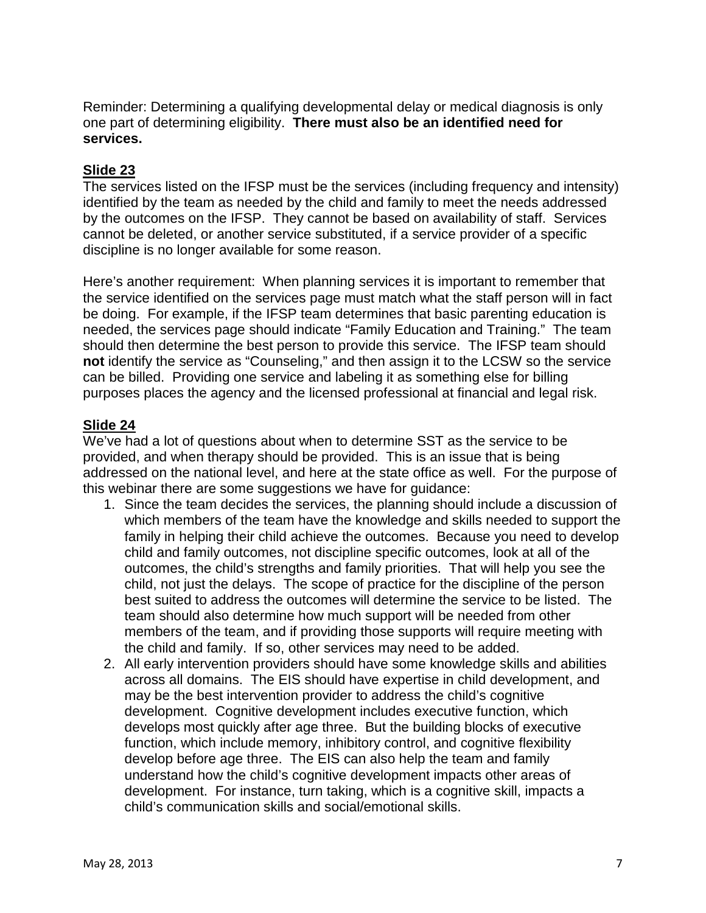Reminder: Determining a qualifying developmental delay or medical diagnosis is only one part of determining eligibility. **There must also be an identified need for services.** 

## **Slide 23**

The services listed on the IFSP must be the services (including frequency and intensity) identified by the team as needed by the child and family to meet the needs addressed by the outcomes on the IFSP. They cannot be based on availability of staff. Services cannot be deleted, or another service substituted, if a service provider of a specific discipline is no longer available for some reason.

Here's another requirement: When planning services it is important to remember that the service identified on the services page must match what the staff person will in fact be doing. For example, if the IFSP team determines that basic parenting education is needed, the services page should indicate "Family Education and Training." The team should then determine the best person to provide this service. The IFSP team should **not** identify the service as "Counseling," and then assign it to the LCSW so the service can be billed. Providing one service and labeling it as something else for billing purposes places the agency and the licensed professional at financial and legal risk.

### **Slide 24**

We've had a lot of questions about when to determine SST as the service to be provided, and when therapy should be provided. This is an issue that is being addressed on the national level, and here at the state office as well. For the purpose of this webinar there are some suggestions we have for guidance:

- 1. Since the team decides the services, the planning should include a discussion of which members of the team have the knowledge and skills needed to support the family in helping their child achieve the outcomes. Because you need to develop child and family outcomes, not discipline specific outcomes, look at all of the outcomes, the child's strengths and family priorities. That will help you see the child, not just the delays. The scope of practice for the discipline of the person best suited to address the outcomes will determine the service to be listed. The team should also determine how much support will be needed from other members of the team, and if providing those supports will require meeting with the child and family. If so, other services may need to be added.
- 2. All early intervention providers should have some knowledge skills and abilities across all domains. The EIS should have expertise in child development, and may be the best intervention provider to address the child's cognitive development. Cognitive development includes executive function, which develops most quickly after age three. But the building blocks of executive function, which include memory, inhibitory control, and cognitive flexibility develop before age three. The EIS can also help the team and family understand how the child's cognitive development impacts other areas of development. For instance, turn taking, which is a cognitive skill, impacts a child's communication skills and social/emotional skills.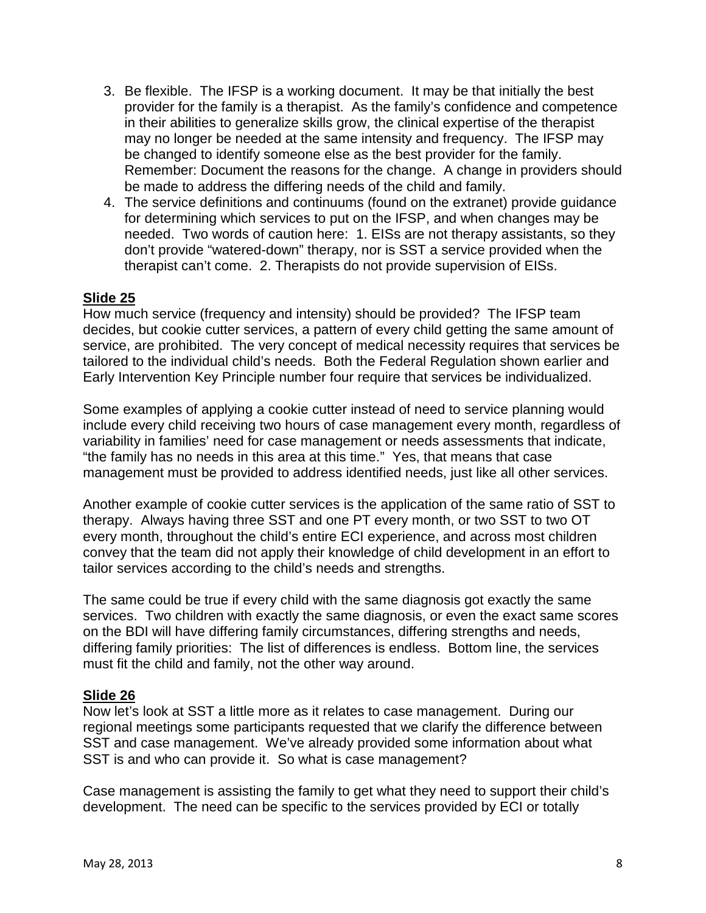- 3. Be flexible. The IFSP is a working document. It may be that initially the best provider for the family is a therapist. As the family's confidence and competence in their abilities to generalize skills grow, the clinical expertise of the therapist may no longer be needed at the same intensity and frequency. The IFSP may be changed to identify someone else as the best provider for the family. Remember: Document the reasons for the change. A change in providers should be made to address the differing needs of the child and family.
- 4. The service definitions and continuums (found on the extranet) provide guidance for determining which services to put on the IFSP, and when changes may be needed. Two words of caution here: 1. EISs are not therapy assistants, so they don't provide "watered-down" therapy, nor is SST a service provided when the therapist can't come. 2. Therapists do not provide supervision of EISs.

How much service (frequency and intensity) should be provided? The IFSP team decides, but cookie cutter services, a pattern of every child getting the same amount of service, are prohibited. The very concept of medical necessity requires that services be tailored to the individual child's needs. Both the Federal Regulation shown earlier and Early Intervention Key Principle number four require that services be individualized.

Some examples of applying a cookie cutter instead of need to service planning would include every child receiving two hours of case management every month, regardless of variability in families' need for case management or needs assessments that indicate, "the family has no needs in this area at this time." Yes, that means that case management must be provided to address identified needs, just like all other services.

Another example of cookie cutter services is the application of the same ratio of SST to therapy. Always having three SST and one PT every month, or two SST to two OT every month, throughout the child's entire ECI experience, and across most children convey that the team did not apply their knowledge of child development in an effort to tailor services according to the child's needs and strengths.

The same could be true if every child with the same diagnosis got exactly the same services. Two children with exactly the same diagnosis, or even the exact same scores on the BDI will have differing family circumstances, differing strengths and needs, differing family priorities: The list of differences is endless. Bottom line, the services must fit the child and family, not the other way around.

#### **Slide 26**

Now let's look at SST a little more as it relates to case management. During our regional meetings some participants requested that we clarify the difference between SST and case management. We've already provided some information about what SST is and who can provide it. So what is case management?

Case management is assisting the family to get what they need to support their child's development. The need can be specific to the services provided by ECI or totally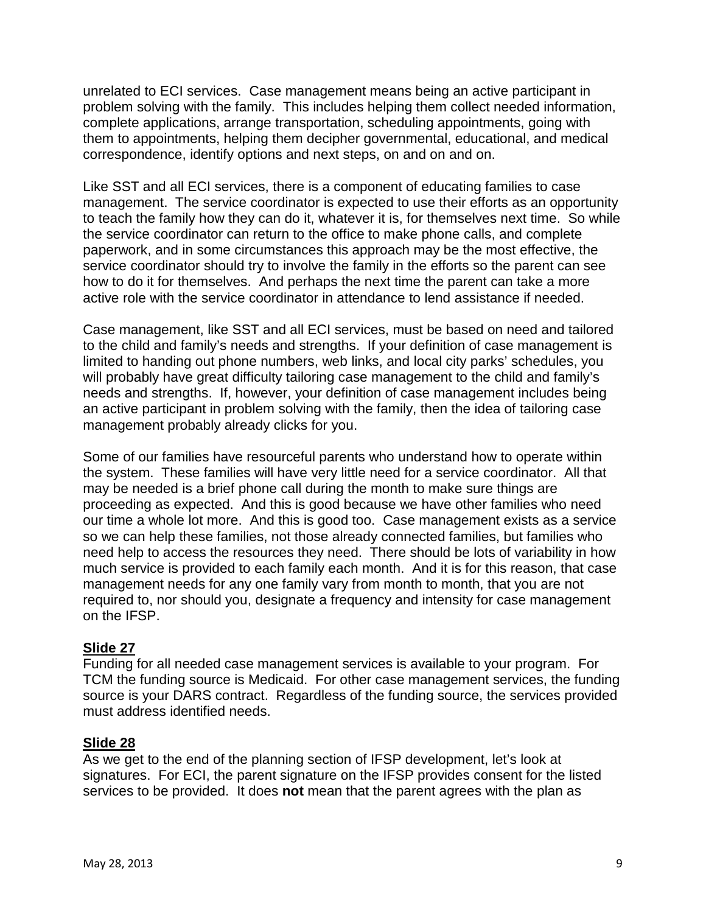unrelated to ECI services. Case management means being an active participant in problem solving with the family. This includes helping them collect needed information, complete applications, arrange transportation, scheduling appointments, going with them to appointments, helping them decipher governmental, educational, and medical correspondence, identify options and next steps, on and on and on.

Like SST and all ECI services, there is a component of educating families to case management. The service coordinator is expected to use their efforts as an opportunity to teach the family how they can do it, whatever it is, for themselves next time. So while the service coordinator can return to the office to make phone calls, and complete paperwork, and in some circumstances this approach may be the most effective, the service coordinator should try to involve the family in the efforts so the parent can see how to do it for themselves. And perhaps the next time the parent can take a more active role with the service coordinator in attendance to lend assistance if needed.

Case management, like SST and all ECI services, must be based on need and tailored to the child and family's needs and strengths. If your definition of case management is limited to handing out phone numbers, web links, and local city parks' schedules, you will probably have great difficulty tailoring case management to the child and family's needs and strengths. If, however, your definition of case management includes being an active participant in problem solving with the family, then the idea of tailoring case management probably already clicks for you.

Some of our families have resourceful parents who understand how to operate within the system. These families will have very little need for a service coordinator. All that may be needed is a brief phone call during the month to make sure things are proceeding as expected. And this is good because we have other families who need our time a whole lot more. And this is good too. Case management exists as a service so we can help these families, not those already connected families, but families who need help to access the resources they need. There should be lots of variability in how much service is provided to each family each month. And it is for this reason, that case management needs for any one family vary from month to month, that you are not required to, nor should you, designate a frequency and intensity for case management on the IFSP.

### **Slide 27**

Funding for all needed case management services is available to your program. For TCM the funding source is Medicaid. For other case management services, the funding source is your DARS contract. Regardless of the funding source, the services provided must address identified needs.

### **Slide 28**

As we get to the end of the planning section of IFSP development, let's look at signatures. For ECI, the parent signature on the IFSP provides consent for the listed services to be provided. It does **not** mean that the parent agrees with the plan as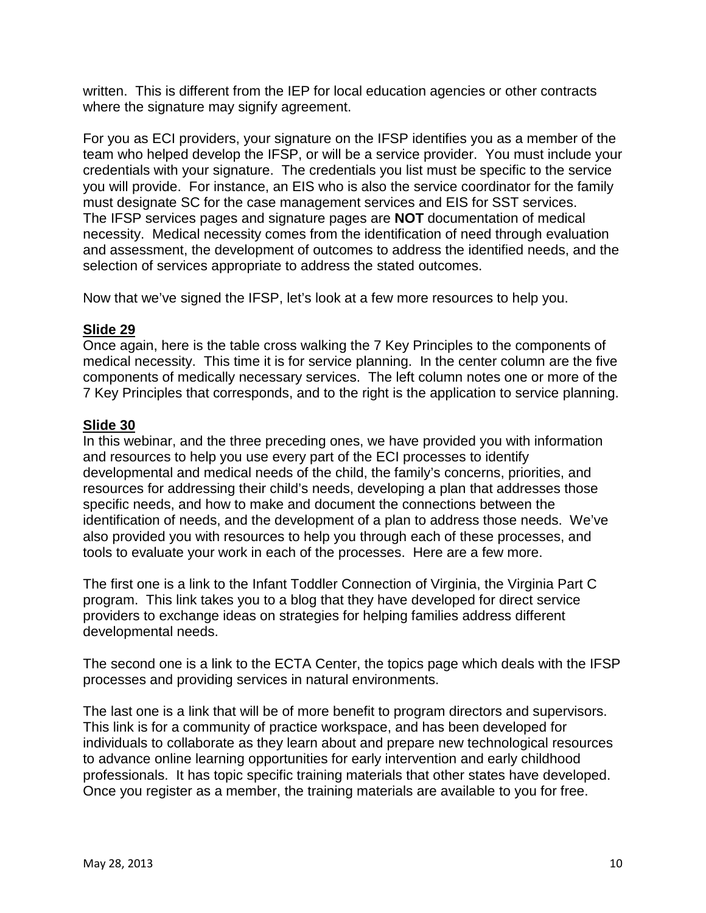written. This is different from the IEP for local education agencies or other contracts where the signature may signify agreement.

For you as ECI providers, your signature on the IFSP identifies you as a member of the team who helped develop the IFSP, or will be a service provider. You must include your credentials with your signature. The credentials you list must be specific to the service you will provide. For instance, an EIS who is also the service coordinator for the family must designate SC for the case management services and EIS for SST services. The IFSP services pages and signature pages are **NOT** documentation of medical necessity. Medical necessity comes from the identification of need through evaluation and assessment, the development of outcomes to address the identified needs, and the selection of services appropriate to address the stated outcomes.

Now that we've signed the IFSP, let's look at a few more resources to help you.

### **Slide 29**

Once again, here is the table cross walking the 7 Key Principles to the components of medical necessity. This time it is for service planning. In the center column are the five components of medically necessary services. The left column notes one or more of the 7 Key Principles that corresponds, and to the right is the application to service planning.

## **Slide 30**

In this webinar, and the three preceding ones, we have provided you with information and resources to help you use every part of the ECI processes to identify developmental and medical needs of the child, the family's concerns, priorities, and resources for addressing their child's needs, developing a plan that addresses those specific needs, and how to make and document the connections between the identification of needs, and the development of a plan to address those needs. We've also provided you with resources to help you through each of these processes, and tools to evaluate your work in each of the processes. Here are a few more.

The first one is a link to the Infant Toddler Connection of Virginia, the Virginia Part C program. This link takes you to a blog that they have developed for direct service providers to exchange ideas on strategies for helping families address different developmental needs.

The second one is a link to the ECTA Center, the topics page which deals with the IFSP processes and providing services in natural environments.

The last one is a link that will be of more benefit to program directors and supervisors. This link is for a community of practice workspace, and has been developed for individuals to collaborate as they learn about and prepare new technological resources to advance online learning opportunities for early intervention and early childhood professionals. It has topic specific training materials that other states have developed. Once you register as a member, the training materials are available to you for free.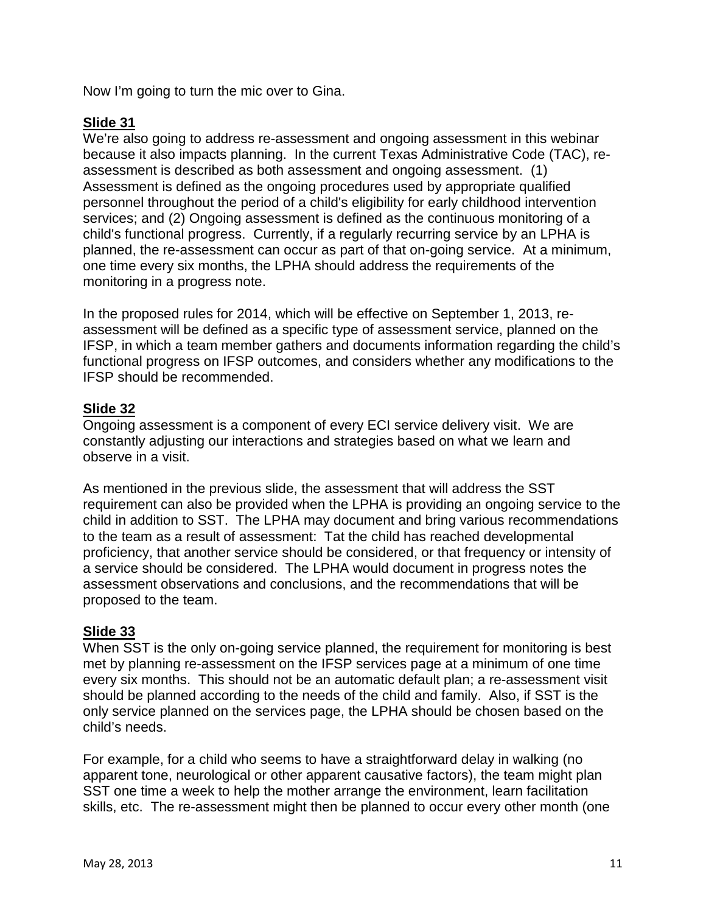Now I'm going to turn the mic over to Gina.

## **Slide 31**

We're also going to address re-assessment and ongoing assessment in this webinar because it also impacts planning. In the current Texas Administrative Code (TAC), reassessment is described as both assessment and ongoing assessment. (1) Assessment is defined as the ongoing procedures used by appropriate qualified personnel throughout the period of a child's eligibility for early childhood intervention services; and (2) Ongoing assessment is defined as the continuous monitoring of a child's functional progress. Currently, if a regularly recurring service by an LPHA is planned, the re-assessment can occur as part of that on-going service. At a minimum, one time every six months, the LPHA should address the requirements of the monitoring in a progress note.

In the proposed rules for 2014, which will be effective on September 1, 2013, reassessment will be defined as a specific type of assessment service, planned on the IFSP, in which a team member gathers and documents information regarding the child's functional progress on IFSP outcomes, and considers whether any modifications to the IFSP should be recommended.

## **Slide 32**

Ongoing assessment is a component of every ECI service delivery visit. We are constantly adjusting our interactions and strategies based on what we learn and observe in a visit.

As mentioned in the previous slide, the assessment that will address the SST requirement can also be provided when the LPHA is providing an ongoing service to the child in addition to SST. The LPHA may document and bring various recommendations to the team as a result of assessment: Tat the child has reached developmental proficiency, that another service should be considered, or that frequency or intensity of a service should be considered. The LPHA would document in progress notes the assessment observations and conclusions, and the recommendations that will be proposed to the team.

### **Slide 33**

When SST is the only on-going service planned, the requirement for monitoring is best met by planning re-assessment on the IFSP services page at a minimum of one time every six months. This should not be an automatic default plan; a re-assessment visit should be planned according to the needs of the child and family. Also, if SST is the only service planned on the services page, the LPHA should be chosen based on the child's needs.

For example, for a child who seems to have a straightforward delay in walking (no apparent tone, neurological or other apparent causative factors), the team might plan SST one time a week to help the mother arrange the environment, learn facilitation skills, etc. The re-assessment might then be planned to occur every other month (one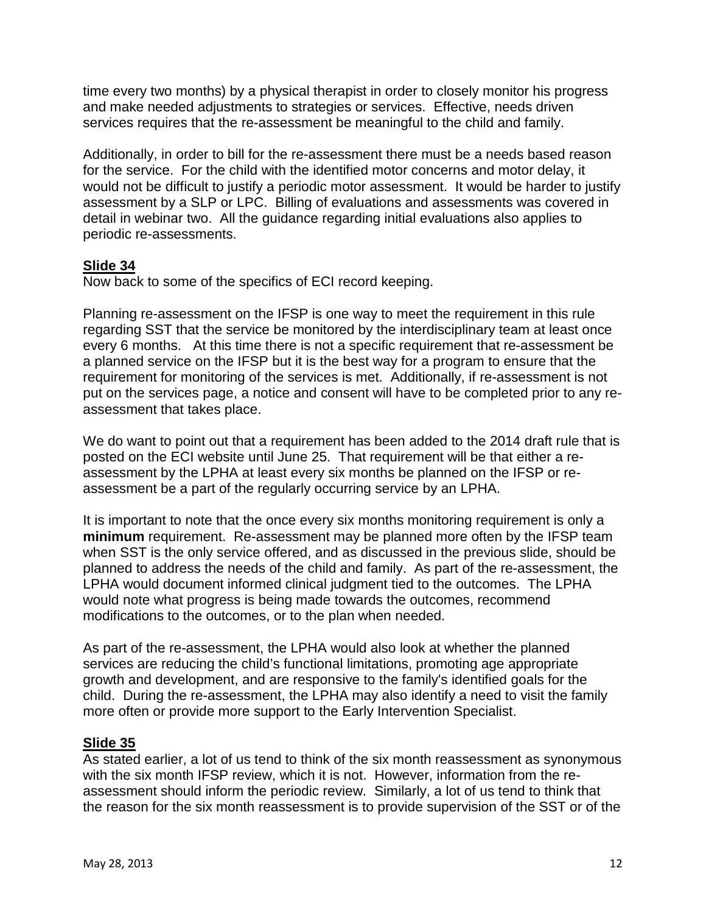time every two months) by a physical therapist in order to closely monitor his progress and make needed adjustments to strategies or services. Effective, needs driven services requires that the re-assessment be meaningful to the child and family.

Additionally, in order to bill for the re-assessment there must be a needs based reason for the service. For the child with the identified motor concerns and motor delay, it would not be difficult to justify a periodic motor assessment. It would be harder to justify assessment by a SLP or LPC. Billing of evaluations and assessments was covered in detail in webinar two. All the guidance regarding initial evaluations also applies to periodic re-assessments.

## **Slide 34**

Now back to some of the specifics of ECI record keeping.

Planning re-assessment on the IFSP is one way to meet the requirement in this rule regarding SST that the service be monitored by the interdisciplinary team at least once every 6 months. At this time there is not a specific requirement that re-assessment be a planned service on the IFSP but it is the best way for a program to ensure that the requirement for monitoring of the services is met. Additionally, if re-assessment is not put on the services page, a notice and consent will have to be completed prior to any reassessment that takes place.

We do want to point out that a requirement has been added to the 2014 draft rule that is posted on the ECI website until June 25. That requirement will be that either a reassessment by the LPHA at least every six months be planned on the IFSP or reassessment be a part of the regularly occurring service by an LPHA.

It is important to note that the once every six months monitoring requirement is only a **minimum** requirement. Re-assessment may be planned more often by the IFSP team when SST is the only service offered, and as discussed in the previous slide, should be planned to address the needs of the child and family. As part of the re-assessment, the LPHA would document informed clinical judgment tied to the outcomes. The LPHA would note what progress is being made towards the outcomes, recommend modifications to the outcomes, or to the plan when needed.

As part of the re-assessment, the LPHA would also look at whether the planned services are reducing the child's functional limitations, promoting age appropriate growth and development, and are responsive to the family's identified goals for the child. During the re-assessment, the LPHA may also identify a need to visit the family more often or provide more support to the Early Intervention Specialist.

### **Slide 35**

As stated earlier, a lot of us tend to think of the six month reassessment as synonymous with the six month IFSP review, which it is not. However, information from the reassessment should inform the periodic review. Similarly, a lot of us tend to think that the reason for the six month reassessment is to provide supervision of the SST or of the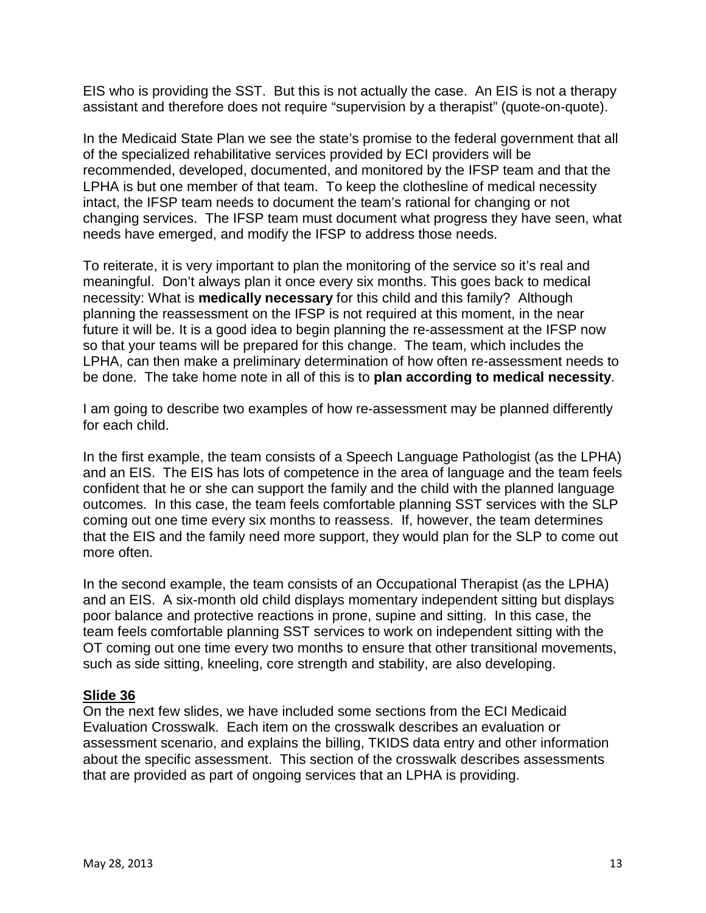EIS who is providing the SST. But this is not actually the case. An EIS is not a therapy assistant and therefore does not require "supervision by a therapist" (quote-on-quote).

In the Medicaid State Plan we see the state's promise to the federal government that all of the specialized rehabilitative services provided by ECI providers will be recommended, developed, documented, and monitored by the IFSP team and that the LPHA is but one member of that team. To keep the clothesline of medical necessity intact, the IFSP team needs to document the team's rational for changing or not changing services. The IFSP team must document what progress they have seen, what needs have emerged, and modify the IFSP to address those needs.

To reiterate, it is very important to plan the monitoring of the service so it's real and meaningful. Don't always plan it once every six months. This goes back to medical necessity: What is **medically necessary** for this child and this family? Although planning the reassessment on the IFSP is not required at this moment, in the near future it will be. It is a good idea to begin planning the re-assessment at the IFSP now so that your teams will be prepared for this change. The team, which includes the LPHA, can then make a preliminary determination of how often re-assessment needs to be done. The take home note in all of this is to **plan according to medical necessity**.

I am going to describe two examples of how re-assessment may be planned differently for each child.

In the first example, the team consists of a Speech Language Pathologist (as the LPHA) and an EIS. The EIS has lots of competence in the area of language and the team feels confident that he or she can support the family and the child with the planned language outcomes. In this case, the team feels comfortable planning SST services with the SLP coming out one time every six months to reassess. If, however, the team determines that the EIS and the family need more support, they would plan for the SLP to come out more often.

In the second example, the team consists of an Occupational Therapist (as the LPHA) and an EIS. A six-month old child displays momentary independent sitting but displays poor balance and protective reactions in prone, supine and sitting. In this case, the team feels comfortable planning SST services to work on independent sitting with the OT coming out one time every two months to ensure that other transitional movements, such as side sitting, kneeling, core strength and stability, are also developing.

### **Slide 36**

On the next few slides, we have included some sections from the ECI Medicaid Evaluation Crosswalk. Each item on the crosswalk describes an evaluation or assessment scenario, and explains the billing, TKIDS data entry and other information about the specific assessment. This section of the crosswalk describes assessments that are provided as part of ongoing services that an LPHA is providing.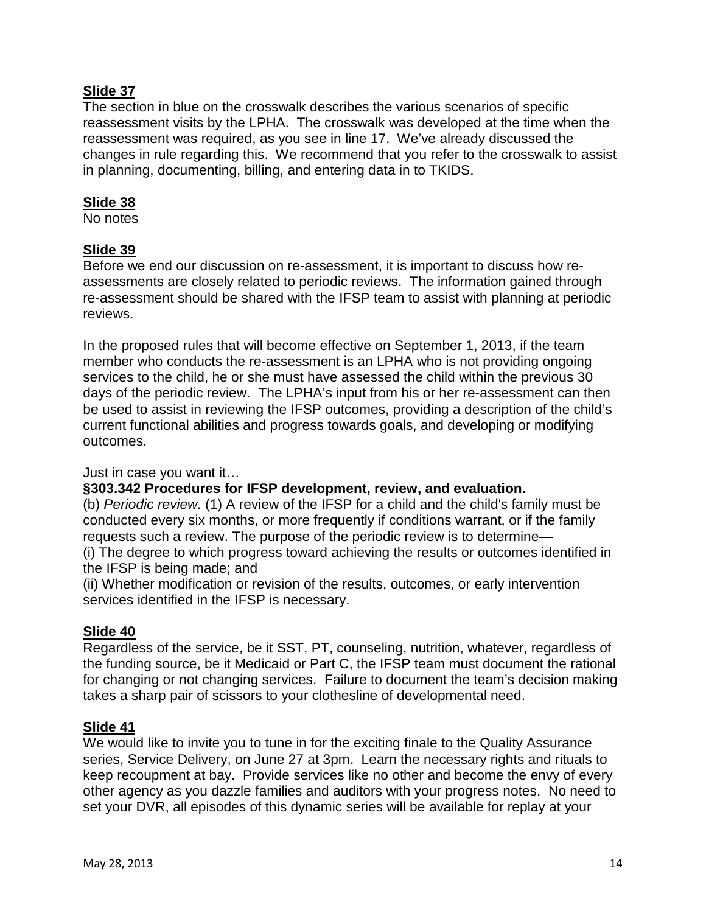The section in blue on the crosswalk describes the various scenarios of specific reassessment visits by the LPHA. The crosswalk was developed at the time when the reassessment was required, as you see in line 17. We've already discussed the changes in rule regarding this. We recommend that you refer to the crosswalk to assist in planning, documenting, billing, and entering data in to TKIDS.

### **Slide 38**

No notes

## **Slide 39**

Before we end our discussion on re-assessment, it is important to discuss how reassessments are closely related to periodic reviews. The information gained through re-assessment should be shared with the IFSP team to assist with planning at periodic reviews.

In the proposed rules that will become effective on September 1, 2013, if the team member who conducts the re-assessment is an LPHA who is not providing ongoing services to the child, he or she must have assessed the child within the previous 30 days of the periodic review. The LPHA's input from his or her re-assessment can then be used to assist in reviewing the IFSP outcomes, providing a description of the child's current functional abilities and progress towards goals, and developing or modifying outcomes.

Just in case you want it…

### **§303.342 Procedures for IFSP development, review, and evaluation.**

(b) *Periodic review.* (1) A review of the IFSP for a child and the child's family must be conducted every six months, or more frequently if conditions warrant, or if the family requests such a review. The purpose of the periodic review is to determine—

(i) The degree to which progress toward achieving the results or outcomes identified in the IFSP is being made; and

(ii) Whether modification or revision of the results, outcomes, or early intervention services identified in the IFSP is necessary.

### **Slide 40**

Regardless of the service, be it SST, PT, counseling, nutrition, whatever, regardless of the funding source, be it Medicaid or Part C, the IFSP team must document the rational for changing or not changing services. Failure to document the team's decision making takes a sharp pair of scissors to your clothesline of developmental need.

### **Slide 41**

We would like to invite you to tune in for the exciting finale to the Quality Assurance series, Service Delivery, on June 27 at 3pm. Learn the necessary rights and rituals to keep recoupment at bay. Provide services like no other and become the envy of every other agency as you dazzle families and auditors with your progress notes. No need to set your DVR, all episodes of this dynamic series will be available for replay at your